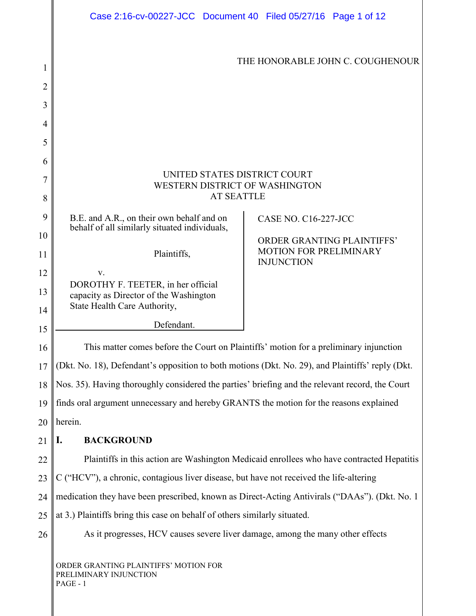<span id="page-0-0"></span>

|    | Case 2:16-cv-00227-JCC Document 40 Filed 05/27/16 Page 1 of 12                                   |                                             |
|----|--------------------------------------------------------------------------------------------------|---------------------------------------------|
|    |                                                                                                  |                                             |
| 1  | THE HONORABLE JOHN C. COUGHENOUR                                                                 |                                             |
| 2  |                                                                                                  |                                             |
| 3  |                                                                                                  |                                             |
| 4  |                                                                                                  |                                             |
| 5  |                                                                                                  |                                             |
| 6  |                                                                                                  |                                             |
| 7  | UNITED STATES DISTRICT COURT<br>WESTERN DISTRICT OF WASHINGTON                                   |                                             |
| 8  | <b>AT SEATTLE</b>                                                                                |                                             |
| 9  | B.E. and A.R., on their own behalf and on                                                        | <b>CASE NO. C16-227-JCC</b>                 |
| 10 | behalf of all similarly situated individuals,                                                    | ORDER GRANTING PLAINTIFFS'                  |
| 11 | Plaintiffs,                                                                                      | MOTION FOR PRELIMINARY<br><b>INJUNCTION</b> |
| 12 | V.                                                                                               |                                             |
| 13 | DOROTHY F. TEETER, in her official<br>capacity as Director of the Washington                     |                                             |
| 14 | State Health Care Authority,                                                                     |                                             |
| 15 | Defendant.                                                                                       |                                             |
| 16 | This matter comes before the Court on Plaintiffs' motion for a preliminary injunction            |                                             |
| 17 | (Dkt. No. 18), Defendant's opposition to both motions (Dkt. No. 29), and Plaintiffs' reply (Dkt. |                                             |
| 18 | Nos. 35). Having thoroughly considered the parties' briefing and the relevant record, the Court  |                                             |
| 19 | finds oral argument unnecessary and hereby GRANTS the motion for the reasons explained           |                                             |
| 20 | herein.                                                                                          |                                             |
| 21 | <b>BACKGROUND</b><br>I.                                                                          |                                             |
| 22 | Plaintiffs in this action are Washington Medicaid enrollees who have contracted Hepatitis        |                                             |
| 23 | C ("HCV"), a chronic, contagious liver disease, but have not received the life-altering          |                                             |
| 24 | medication they have been prescribed, known as Direct-Acting Antivirals ("DAAs"). (Dkt. No. 1    |                                             |
| 25 | at 3.) Plaintiffs bring this case on behalf of others similarly situated.                        |                                             |
| 26 | As it progresses, HCV causes severe liver damage, among the many other effects                   |                                             |
|    | ORDER GRANTING PLAINTIFFS' MOTION FOR<br>PRELIMINARY INJUNCTION<br>PAGE - 1                      |                                             |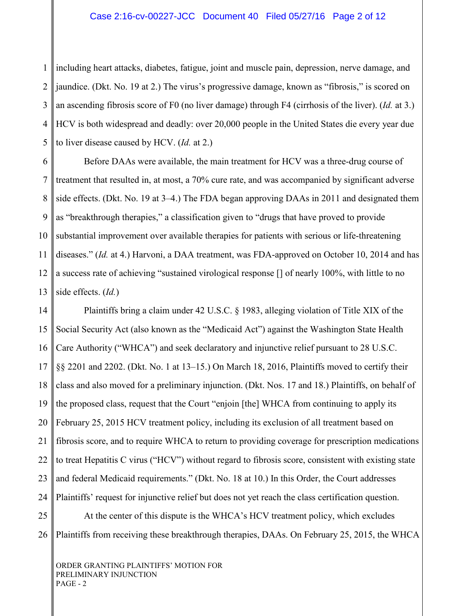### Case 2:16-cv-00227-JCC Document 40 Filed 05/27/16 Page 2 of 12

1 2 3 4 5 including heart attacks, diabetes, fatigue, joint and muscle pain, depression, nerve damage, and jaundice. (Dkt. No. 19 at 2.) The virus's progressive damage, known as "fibrosis," is scored on an ascending fibrosis score of F0 (no liver damage) through F4 (cirrhosis of the liver). (*Id.* at 3.) HCV is both widespread and deadly: over 20,000 people in the United States die every year due to liver disease caused by HCV. (*Id.* at 2.)

6 7 8 9 10 11 12 13 Before DAAs were available, the main treatment for HCV was a three-drug course of treatment that resulted in, at most, a 70% cure rate, and was accompanied by significant adverse side effects. (Dkt. No. 19 at 3–4.) The FDA began approving DAAs in 2011 and designated them as "breakthrough therapies," a classification given to "drugs that have proved to provide substantial improvement over available therapies for patients with serious or life-threatening diseases." (*Id.* at 4.) Harvoni, a DAA treatment, was FDA-approved on October 10, 2014 and has a success rate of achieving "sustained virological response [] of nearly 100%, with little to no side effects. (*Id.*)

14 15 16 17 18 19 20 21 22 23 24 25 Plaintiffs bring a claim under 42 U.S.C. § 1983, alleging violation of Title XIX of the Social Security Act (also known as the "Medicaid Act") against the Washington State Health Care Authority ("WHCA") and seek declaratory and injunctive relief pursuant to 28 U.S.C. §§ 2201 and 2202. (Dkt. No. 1 at 13–15.) On March 18, 2016, Plaintiffs moved to certify their class and also moved for a preliminary injunction. (Dkt. Nos. 17 and 18.) Plaintiffs, on behalf of the proposed class, request that the Court "enjoin [the] WHCA from continuing to apply its February 25, 2015 HCV treatment policy, including its exclusion of all treatment based on fibrosis score, and to require WHCA to return to providing coverage for prescription medications to treat Hepatitis C virus ("HCV") without regard to fibrosis score, consistent with existing state and federal Medicaid requirements." (Dkt. No. 18 at 10.) In this Order, the Court addresses Plaintiffs' request for injunctive relief but does not yet reach the class certification question. At the center of this dispute is the WHCA's HCV treatment policy, which excludes

26 Plaintiffs from receiving these breakthrough therapies, DAAs. On February 25, 2015, the WHCA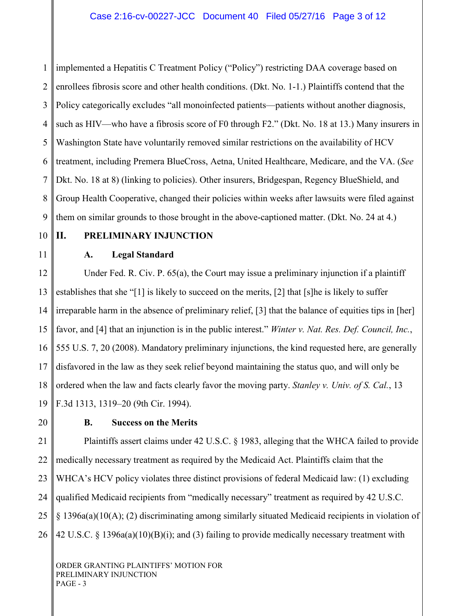1 2 3 4 5 6 7 8 9 implemented a Hepatitis C Treatment Policy ("Policy") restricting DAA coverage based on enrollees fibrosis score and other health conditions. (Dkt. No. 1-1.) Plaintiffs contend that the Policy categorically excludes "all monoinfected patients—patients without another diagnosis, such as HIV—who have a fibrosis score of F0 through F2." (Dkt. No. 18 at 13.) Many insurers in Washington State have voluntarily removed similar restrictions on the availability of HCV treatment, including Premera BlueCross, Aetna, United Healthcare, Medicare, and the VA. (*See*  Dkt. No. 18 at 8) (linking to policies). Other insurers, Bridgespan, Regency BlueShield, and Group Health Cooperative, changed their policies within weeks after lawsuits were filed against them on similar grounds to those brought in the above-captioned matter. (Dkt. No. 24 at 4.)

10

11

# **II. PRELIMINARY INJUNCTION**

## **A. Legal Standard**

12 13 14 15 16 17 18 19 Under Fed. R. Civ. P. 65(a), the Court may issue a preliminary injunction if a plaintiff establishes that she "[1] is likely to succeed on the merits, [2] that [s]he is likely to suffer irreparable harm in the absence of preliminary relief, [3] that the balance of equities tips in [her] favor, and [4] that an injunction is in the public interest." *Winter v. Nat. Res. Def. Council, Inc.*, 555 U.S. 7, 20 (2008). Mandatory preliminary injunctions, the kind requested here, are generally disfavored in the law as they seek relief beyond maintaining the status quo, and will only be ordered when the law and facts clearly favor the moving party. *Stanley v. Univ. of S. Cal.*, 13 F.3d 1313, 1319–20 (9th Cir. 1994).

20

# **B. Success on the Merits**

21 22 23 24 25 26 Plaintiffs assert claims under 42 U.S.C. § 1983, alleging that the WHCA failed to provide medically necessary treatment as required by the Medicaid Act. Plaintiffs claim that the WHCA's HCV policy violates three distinct provisions of federal Medicaid law: (1) excluding qualified Medicaid recipients from "medically necessary" treatment as required by 42 U.S.C. § 1396a(a)(10(A); (2) discriminating among similarly situated Medicaid recipients in violation of 42 U.S.C. § 1396a(a)(10)(B)(i); and (3) failing to provide medically necessary treatment with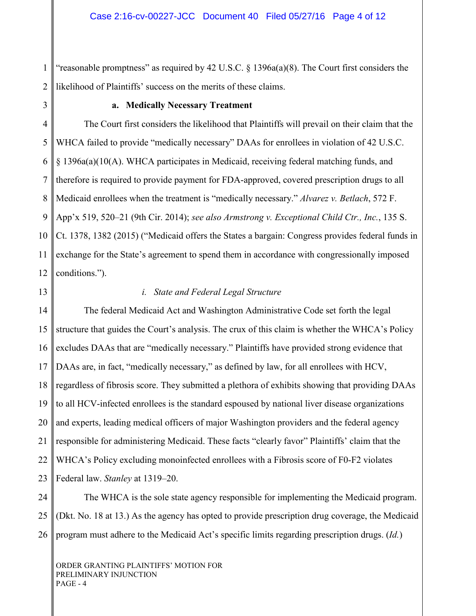1 2 "reasonable promptness" as required by 42 U.S.C.  $\S$  1396a(a)(8). The Court first considers the likelihood of Plaintiffs' success on the merits of these claims.

3

#### **a. Medically Necessary Treatment**

4 5 6 7 8 9 10 11 12 The Court first considers the likelihood that Plaintiffs will prevail on their claim that the WHCA failed to provide "medically necessary" DAAs for enrollees in violation of 42 U.S.C. § 1396a(a)(10(A). WHCA participates in Medicaid, receiving federal matching funds, and therefore is required to provide payment for FDA-approved, covered prescription drugs to all Medicaid enrollees when the treatment is "medically necessary." *Alvarez v. Betlach*, 572 F. App'x 519, 520–21 (9th Cir. 2014); *see also Armstrong v. Exceptional Child Ctr., Inc.*, 135 S. Ct. 1378, 1382 (2015) ("Medicaid offers the States a bargain: Congress provides federal funds in exchange for the State's agreement to spend them in accordance with congressionally imposed conditions.").

13

#### *i. State and Federal Legal Structure*

14 15 16 17 18 19 20 21 22 23 The federal Medicaid Act and Washington Administrative Code set forth the legal structure that guides the Court's analysis. The crux of this claim is whether the WHCA's Policy excludes DAAs that are "medically necessary." Plaintiffs have provided strong evidence that DAAs are, in fact, "medically necessary," as defined by law, for all enrollees with HCV, regardless of fibrosis score. They submitted a plethora of exhibits showing that providing DAAs to all HCV-infected enrollees is the standard espoused by national liver disease organizations and experts, leading medical officers of major Washington providers and the federal agency responsible for administering Medicaid. These facts "clearly favor" Plaintiffs' claim that the WHCA's Policy excluding monoinfected enrollees with a Fibrosis score of F0-F2 violates Federal law. *Stanley* at 1319–20.

24 25 26 The WHCA is the sole state agency responsible for implementing the Medicaid program. (Dkt. No. 18 at 13.) As the agency has opted to provide prescription drug coverage, the Medicaid program must adhere to the Medicaid Act's specific limits regarding prescription drugs. (*Id.*)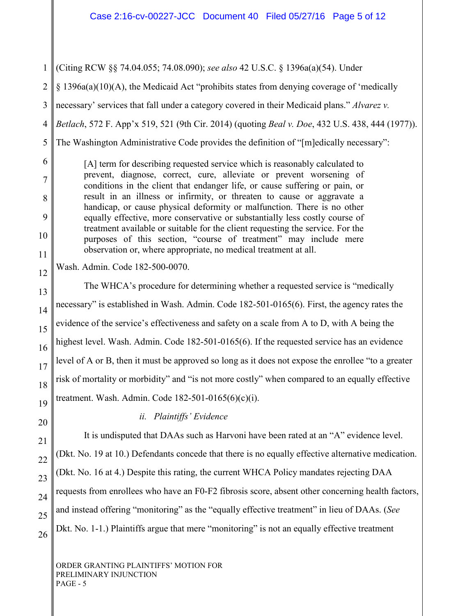(Citing RCW §§ 74.04.055; 74.08.090); *see also* 42 U.S.C. § 1396a(a)(54). Under

§ 1396a(a)(10)(A), the Medicaid Act "prohibits states from denying coverage of 'medically

necessary' services that fall under a category covered in their Medicaid plans." *Alvarez v.* 

*Betlach*, 572 F. App'x 519, 521 (9th Cir. 2014) (quoting *Beal v. Doe*, 432 U.S. 438, 444 (1977)).

The Washington Administrative Code provides the definition of "[m]edically necessary":

[A] term for describing requested service which is reasonably calculated to prevent, diagnose, correct, cure, alleviate or prevent worsening of conditions in the client that endanger life, or cause suffering or pain, or result in an illness or infirmity, or threaten to cause or aggravate a handicap, or cause physical deformity or malfunction. There is no other equally effective, more conservative or substantially less costly course of treatment available or suitable for the client requesting the service. For the purposes of this section, "course of treatment" may include mere observation or, where appropriate, no medical treatment at all.

Wash. Admin. Code 182-500-0070.

The WHCA's procedure for determining whether a requested service is "medically necessary" is established in Wash. Admin. Code 182-501-0165(6). First, the agency rates the evidence of the service's effectiveness and safety on a scale from A to D, with A being the highest level. Wash. Admin. Code 182-501-0165(6). If the requested service has an evidence level of A or B, then it must be approved so long as it does not expose the enrollee "to a greater risk of mortality or morbidity" and "is not more costly" when compared to an equally effective treatment. Wash. Admin. Code 182-501-0165(6)(c)(i).

*ii. Plaintiffs' Evidence*

It is undisputed that DAAs such as Harvoni have been rated at an "A" evidence level. (Dkt. No. 19 at 10.) Defendants concede that there is no equally effective alternative medication. (Dkt. No. 16 at 4.) Despite this rating, the current WHCA Policy mandates rejecting DAA requests from enrollees who have an F0-F2 fibrosis score, absent other concerning health factors, and instead offering "monitoring" as the "equally effective treatment" in lieu of DAAs. (*See*  Dkt. No. 1-1.) Plaintiffs argue that mere "monitoring" is not an equally effective treatment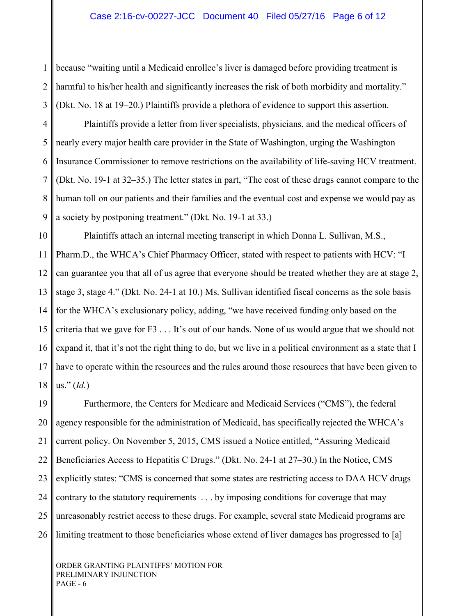1 2 3 because "waiting until a Medicaid enrollee's liver is damaged before providing treatment is harmful to his/her health and significantly increases the risk of both morbidity and mortality." (Dkt. No. 18 at 19–20.) Plaintiffs provide a plethora of evidence to support this assertion.

4 5 6 7 8 9 Plaintiffs provide a letter from liver specialists, physicians, and the medical officers of nearly every major health care provider in the State of Washington, urging the Washington Insurance Commissioner to remove restrictions on the availability of life-saving HCV treatment. (Dkt. No. 19-1 at 32–35.) The letter states in part, "The cost of these drugs cannot compare to the human toll on our patients and their families and the eventual cost and expense we would pay as a society by postponing treatment." (Dkt. No. 19-1 at 33.)

10 11 12 13 14 15 16 17 18 Plaintiffs attach an internal meeting transcript in which Donna L. Sullivan, M.S., Pharm.D., the WHCA's Chief Pharmacy Officer, stated with respect to patients with HCV: "I can guarantee you that all of us agree that everyone should be treated whether they are at stage 2, stage 3, stage 4." (Dkt. No. 24-1 at 10.) Ms. Sullivan identified fiscal concerns as the sole basis for the WHCA's exclusionary policy, adding, "we have received funding only based on the criteria that we gave for F3 . . . It's out of our hands. None of us would argue that we should not expand it, that it's not the right thing to do, but we live in a political environment as a state that I have to operate within the resources and the rules around those resources that have been given to us." (*Id.*)

19 20 21 22 23 24 25 26 Furthermore, the Centers for Medicare and Medicaid Services ("CMS"), the federal agency responsible for the administration of Medicaid, has specifically rejected the WHCA's current policy. On November 5, 2015, CMS issued a Notice entitled, "Assuring Medicaid Beneficiaries Access to Hepatitis C Drugs." (Dkt. No. 24-1 at 27–30.) In the Notice, CMS explicitly states: "CMS is concerned that some states are restricting access to DAA HCV drugs contrary to the statutory requirements . . . by imposing conditions for coverage that may unreasonably restrict access to these drugs. For example, several state Medicaid programs are limiting treatment to those beneficiaries whose extend of liver damages has progressed to [a]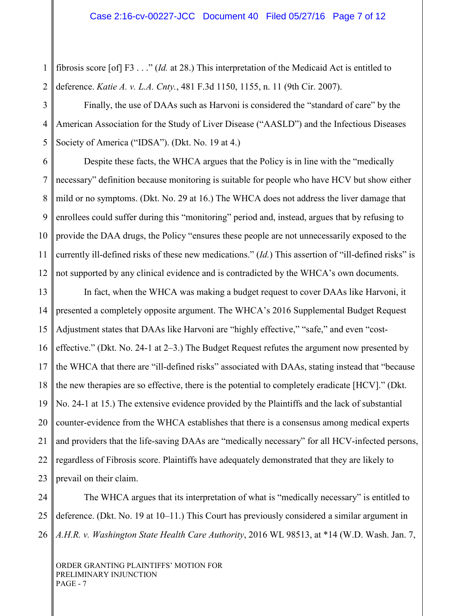1 2 fibrosis score [of] F3 . . ." (*Id.* at 28.) This interpretation of the Medicaid Act is entitled to deference. *Katie A. v. L.A. Cnty.*, 481 F.3d 1150, 1155, n. 11 (9th Cir. 2007).

3 4 5 Finally, the use of DAAs such as Harvoni is considered the "standard of care" by the American Association for the Study of Liver Disease ("AASLD") and the Infectious Diseases Society of America ("IDSA"). (Dkt. No. 19 at 4.)

6 7 8 9 10 11 12 Despite these facts, the WHCA argues that the Policy is in line with the "medically necessary" definition because monitoring is suitable for people who have HCV but show either mild or no symptoms. (Dkt. No. 29 at 16.) The WHCA does not address the liver damage that enrollees could suffer during this "monitoring" period and, instead, argues that by refusing to provide the DAA drugs, the Policy "ensures these people are not unnecessarily exposed to the currently ill-defined risks of these new medications." (*Id.*) This assertion of "ill-defined risks" is not supported by any clinical evidence and is contradicted by the WHCA's own documents.

13 14 15 16 17 18 19 20 21 22 23 In fact, when the WHCA was making a budget request to cover DAAs like Harvoni, it presented a completely opposite argument. The WHCA's 2016 Supplemental Budget Request Adjustment states that DAAs like Harvoni are "highly effective," "safe," and even "costeffective." (Dkt. No. 24-1 at 2–3.) The Budget Request refutes the argument now presented by the WHCA that there are "ill-defined risks" associated with DAAs, stating instead that "because the new therapies are so effective, there is the potential to completely eradicate [HCV]." (Dkt. No. 24-1 at 15.) The extensive evidence provided by the Plaintiffs and the lack of substantial counter-evidence from the WHCA establishes that there is a consensus among medical experts and providers that the life-saving DAAs are "medically necessary" for all HCV-infected persons, regardless of Fibrosis score. Plaintiffs have adequately demonstrated that they are likely to prevail on their claim.

24 25 26 The WHCA argues that its interpretation of what is "medically necessary" is entitled to deference. (Dkt. No. 19 at 10–11.) This Court has previously considered a similar argument in *A.H.R. v. Washington State Health Care Authority*, 2016 WL 98513, at \*14 (W.D. Wash. Jan. 7,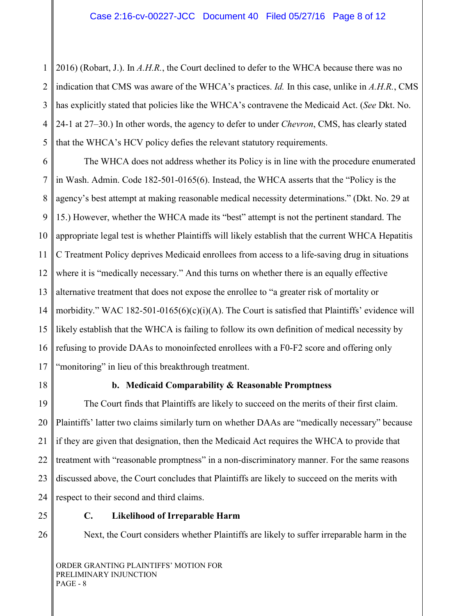1 2 3 4 5 2016) (Robart, J.). In *A.H.R.*, the Court declined to defer to the WHCA because there was no indication that CMS was aware of the WHCA's practices. *Id.* In this case, unlike in *A.H.R.*, CMS has explicitly stated that policies like the WHCA's contravene the Medicaid Act. (*See* Dkt. No. 24-1 at 27–30.) In other words, the agency to defer to under *Chevron*, CMS, has clearly stated that the WHCA's HCV policy defies the relevant statutory requirements.

6 7 8 9 10 11 12 13 14 15 16 17 The WHCA does not address whether its Policy is in line with the procedure enumerated in Wash. Admin. Code 182-501-0165(6). Instead, the WHCA asserts that the "Policy is the agency's best attempt at making reasonable medical necessity determinations." (Dkt. No. 29 at 15.) However, whether the WHCA made its "best" attempt is not the pertinent standard. The appropriate legal test is whether Plaintiffs will likely establish that the current WHCA Hepatitis C Treatment Policy deprives Medicaid enrollees from access to a life-saving drug in situations where it is "medically necessary." And this turns on whether there is an equally effective alternative treatment that does not expose the enrollee to "a greater risk of mortality or morbidity." WAC 182-501-0165(6)(c)(i)(A). The Court is satisfied that Plaintiffs' evidence will likely establish that the WHCA is failing to follow its own definition of medical necessity by refusing to provide DAAs to monoinfected enrollees with a F0-F2 score and offering only "monitoring" in lieu of this breakthrough treatment.

18

# **b. Medicaid Comparability & Reasonable Promptness**

19 20 21 22 23 24 The Court finds that Plaintiffs are likely to succeed on the merits of their first claim. Plaintiffs' latter two claims similarly turn on whether DAAs are "medically necessary" because if they are given that designation, then the Medicaid Act requires the WHCA to provide that treatment with "reasonable promptness" in a non-discriminatory manner. For the same reasons discussed above, the Court concludes that Plaintiffs are likely to succeed on the merits with respect to their second and third claims.

25 26

## **C. Likelihood of Irreparable Harm**

Next, the Court considers whether Plaintiffs are likely to suffer irreparable harm in the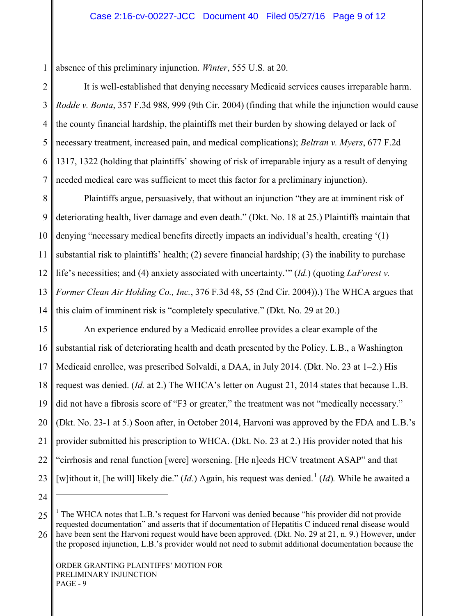1 absence of this preliminary injunction. *Winter*, 555 U.S. at 20.

2 3 4 5 6 7 It is well-established that denying necessary Medicaid services causes irreparable harm. *Rodde v. Bonta*, 357 F.3d 988, 999 (9th Cir. 2004) (finding that while the injunction would cause the county financial hardship, the plaintiffs met their burden by showing delayed or lack of necessary treatment, increased pain, and medical complications); *Beltran v. Myers*, 677 F.2d 1317, 1322 (holding that plaintiffs' showing of risk of irreparable injury as a result of denying needed medical care was sufficient to meet this factor for a preliminary injunction).

8 9 10 11 12 13 14 Plaintiffs argue, persuasively, that without an injunction "they are at imminent risk of deteriorating health, liver damage and even death." (Dkt. No. 18 at 25.) Plaintiffs maintain that denying "necessary medical benefits directly impacts an individual's health, creating '(1) substantial risk to plaintiffs' health; (2) severe financial hardship; (3) the inability to purchase life's necessities; and (4) anxiety associated with uncertainty.'" (*Id.*) (quoting *LaForest v. Former Clean Air Holding Co., Inc.*, 376 F.3d 48, 55 (2nd Cir. 2004)).) The WHCA argues that this claim of imminent risk is "completely speculative." (Dkt. No. 29 at 20.)

15 16 17 18 19 20 21 22 23 An experience endured by a Medicaid enrollee provides a clear example of the substantial risk of deteriorating health and death presented by the Policy. L.B., a Washington Medicaid enrollee, was prescribed Solvaldi, a DAA, in July 2014. (Dkt. No. 23 at 1–2.) His request was denied. (*Id.* at 2.) The WHCA's letter on August 21, 2014 states that because L.B. did not have a fibrosis score of "F3 or greater," the treatment was not "medically necessary." (Dkt. No. 23-1 at 5.) Soon after, in October 2014, Harvoni was approved by the FDA and L.B.'s provider submitted his prescription to WHCA. (Dkt. No. 23 at 2.) His provider noted that his "cirrhosis and renal function [were] worsening. [He n]eeds HCV treatment ASAP" and that [w]ithout it, [he will] likely die." (*Id.*) Again, his request was denied.<sup>[1](#page-0-0)</sup> (*Id*). While he awaited a

24

 $\overline{a}$ 

<sup>25</sup> 26 <sup>1</sup> The WHCA notes that L.B.'s request for Harvoni was denied because "his provider did not provide" requested documentation" and asserts that if documentation of Hepatitis C induced renal disease would have been sent the Harvoni request would have been approved. (Dkt. No. 29 at 21, n. 9.) However, under the proposed injunction, L.B.'s provider would not need to submit additional documentation because the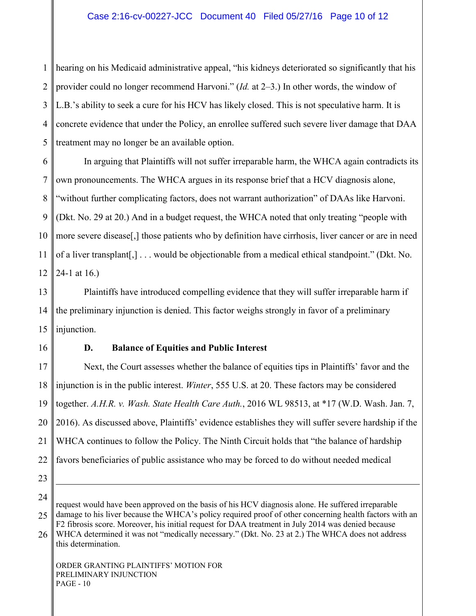1 2 3 4 5 hearing on his Medicaid administrative appeal, "his kidneys deteriorated so significantly that his provider could no longer recommend Harvoni." (*Id.* at 2–3.) In other words, the window of L.B.'s ability to seek a cure for his HCV has likely closed. This is not speculative harm. It is concrete evidence that under the Policy, an enrollee suffered such severe liver damage that DAA treatment may no longer be an available option.

6 7 8 9 10 11 12 In arguing that Plaintiffs will not suffer irreparable harm, the WHCA again contradicts its own pronouncements. The WHCA argues in its response brief that a HCV diagnosis alone, "without further complicating factors, does not warrant authorization" of DAAs like Harvoni. (Dkt. No. 29 at 20.) And in a budget request, the WHCA noted that only treating "people with more severe disease[,] those patients who by definition have cirrhosis, liver cancer or are in need of a liver transplant[,] . . . would be objectionable from a medical ethical standpoint." (Dkt. No. 24-1 at 16.)

13 14 15 Plaintiffs have introduced compelling evidence that they will suffer irreparable harm if the preliminary injunction is denied. This factor weighs strongly in favor of a preliminary injunction.

16

### **D. Balance of Equities and Public Interest**

17 18 19 20 21 22 Next, the Court assesses whether the balance of equities tips in Plaintiffs' favor and the injunction is in the public interest. *Winter*, 555 U.S. at 20. These factors may be considered together. *A.H.R. v. Wash. State Health Care Auth.*, 2016 WL 98513, at \*17 (W.D. Wash. Jan. 7, 2016). As discussed above, Plaintiffs' evidence establishes they will suffer severe hardship if the WHCA continues to follow the Policy. The Ninth Circuit holds that "the balance of hardship favors beneficiaries of public assistance who may be forced to do without needed medical

23 24

 $\overline{a}$ 

25 26 ORDER GRANTING PLAINTIFFS' MOTION FOR PRELIMINARY INJUNCTION request would have been approved on the basis of his HCV diagnosis alone. He suffered irreparable damage to his liver because the WHCA's policy required proof of other concerning health factors with an F2 fibrosis score. Moreover, his initial request for DAA treatment in July 2014 was denied because WHCA determined it was not "medically necessary." (Dkt. No. 23 at 2.) The WHCA does not address this determination.

PAGE - 10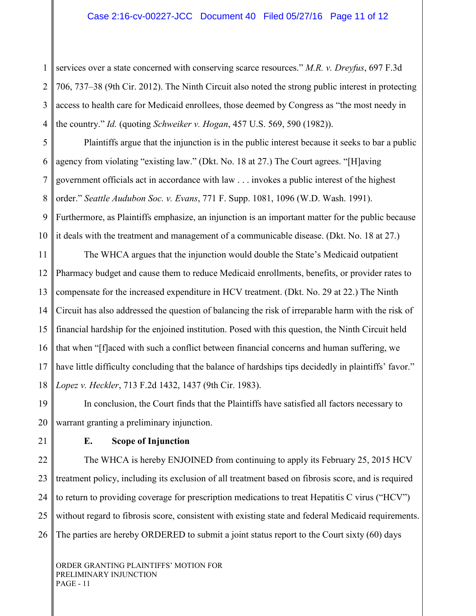1 2 3 4 services over a state concerned with conserving scarce resources." *M.R. v. Dreyfus*, 697 F.3d 706, 737–38 (9th Cir. 2012). The Ninth Circuit also noted the strong public interest in protecting access to health care for Medicaid enrollees, those deemed by Congress as "the most needy in the country." *Id.* (quoting *Schweiker v. Hogan*, 457 U.S. 569, 590 (1982)).

5 6 7 8 9 10 Plaintiffs argue that the injunction is in the public interest because it seeks to bar a public agency from violating "existing law." (Dkt. No. 18 at 27.) The Court agrees. "[H]aving government officials act in accordance with law . . . invokes a public interest of the highest order." *Seattle Audubon Soc. v. Evans*, 771 F. Supp. 1081, 1096 (W.D. Wash. 1991). Furthermore, as Plaintiffs emphasize, an injunction is an important matter for the public because it deals with the treatment and management of a communicable disease. (Dkt. No. 18 at 27.)

11 12 13 14 15 16 17 18 The WHCA argues that the injunction would double the State's Medicaid outpatient Pharmacy budget and cause them to reduce Medicaid enrollments, benefits, or provider rates to compensate for the increased expenditure in HCV treatment. (Dkt. No. 29 at 22.) The Ninth Circuit has also addressed the question of balancing the risk of irreparable harm with the risk of financial hardship for the enjoined institution. Posed with this question, the Ninth Circuit held that when "[f]aced with such a conflict between financial concerns and human suffering, we have little difficulty concluding that the balance of hardships tips decidedly in plaintiffs' favor." *Lopez v. Heckler*, 713 F.2d 1432, 1437 (9th Cir. 1983).

19 20 In conclusion, the Court finds that the Plaintiffs have satisfied all factors necessary to warrant granting a preliminary injunction.

21

## **E. Scope of Injunction**

22 23 24 25 26 The WHCA is hereby ENJOINED from continuing to apply its February 25, 2015 HCV treatment policy, including its exclusion of all treatment based on fibrosis score, and is required to return to providing coverage for prescription medications to treat Hepatitis C virus ("HCV") without regard to fibrosis score, consistent with existing state and federal Medicaid requirements. The parties are hereby ORDERED to submit a joint status report to the Court sixty (60) days